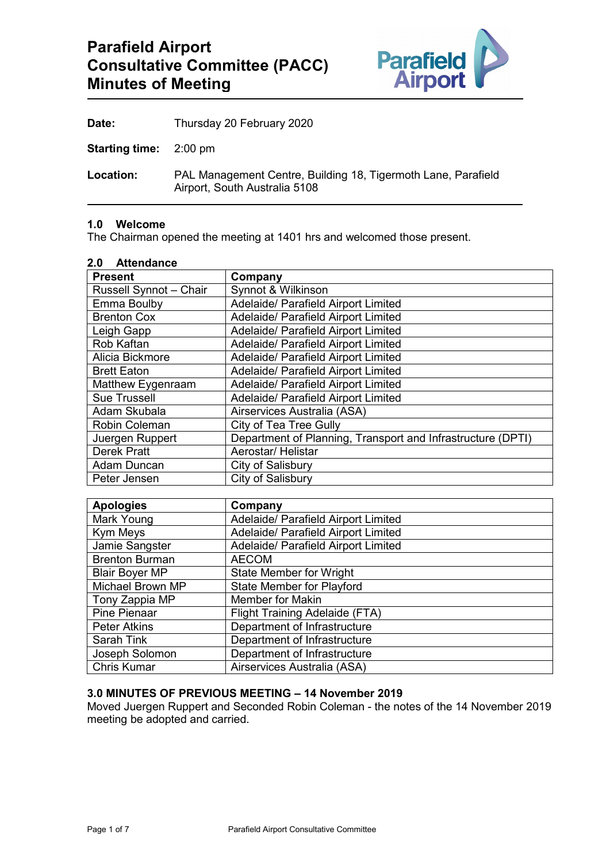

| Thursday 20 February 2020<br>Date: |
|------------------------------------|
|------------------------------------|

**Starting time:** 2:00 pm

**Location:** PAL Management Centre, Building 18, Tigermoth Lane, Parafield Airport, South Australia 5108

#### **1.0 Welcome**

The Chairman opened the meeting at 1401 hrs and welcomed those present.

#### **2.0 Attendance**

| <b>Present</b>         | Company                                                     |
|------------------------|-------------------------------------------------------------|
|                        |                                                             |
| Russell Synnot - Chair | Synnot & Wilkinson                                          |
| Emma Boulby            | Adelaide/ Parafield Airport Limited                         |
| <b>Brenton Cox</b>     | Adelaide/ Parafield Airport Limited                         |
| Leigh Gapp             | Adelaide/ Parafield Airport Limited                         |
| Rob Kaftan             | Adelaide/ Parafield Airport Limited                         |
| Alicia Bickmore        | Adelaide/ Parafield Airport Limited                         |
| <b>Brett Eaton</b>     | Adelaide/ Parafield Airport Limited                         |
| Matthew Eygenraam      | Adelaide/ Parafield Airport Limited                         |
| <b>Sue Trussell</b>    | Adelaide/ Parafield Airport Limited                         |
| Adam Skubala           | Airservices Australia (ASA)                                 |
| Robin Coleman          | <b>City of Tea Tree Gully</b>                               |
| Juergen Ruppert        | Department of Planning, Transport and Infrastructure (DPTI) |
| <b>Derek Pratt</b>     | Aerostar/ Helistar                                          |
| Adam Duncan            | City of Salisbury                                           |
| Peter Jensen           | City of Salisbury                                           |

| <b>Apologies</b>      | Company                             |
|-----------------------|-------------------------------------|
| Mark Young            | Adelaide/ Parafield Airport Limited |
| Kym Meys              | Adelaide/ Parafield Airport Limited |
| Jamie Sangster        | Adelaide/ Parafield Airport Limited |
| <b>Brenton Burman</b> | <b>AECOM</b>                        |
| <b>Blair Boyer MP</b> | <b>State Member for Wright</b>      |
| Michael Brown MP      | <b>State Member for Playford</b>    |
| Tony Zappia MP        | <b>Member for Makin</b>             |
| Pine Pienaar          | Flight Training Adelaide (FTA)      |
| <b>Peter Atkins</b>   | Department of Infrastructure        |
| Sarah Tink            | Department of Infrastructure        |
| Joseph Solomon        | Department of Infrastructure        |
| <b>Chris Kumar</b>    | Airservices Australia (ASA)         |

#### **3.0 MINUTES OF PREVIOUS MEETING – 14 November 2019**

Moved Juergen Ruppert and Seconded Robin Coleman - the notes of the 14 November 2019 meeting be adopted and carried.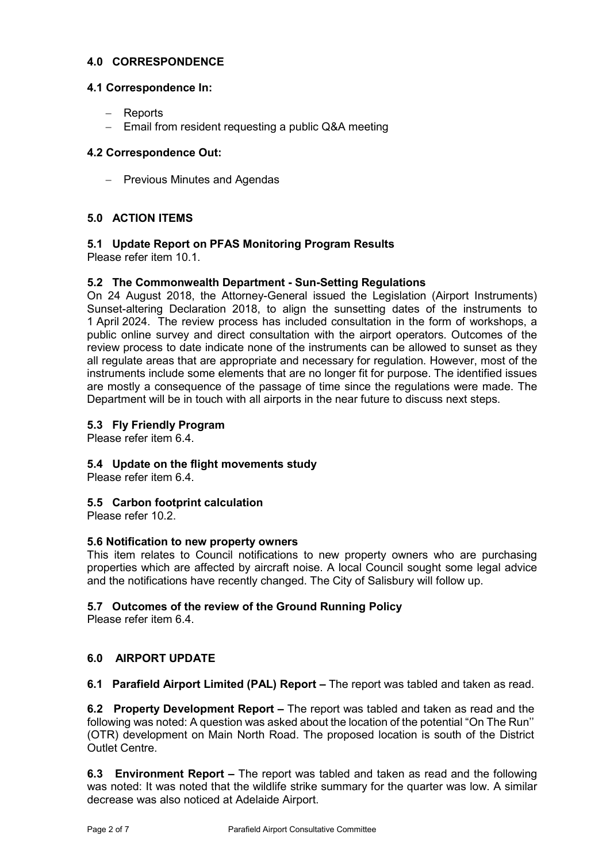### **4.0 CORRESPONDENCE**

### **4.1 Correspondence In:**

- − Reports
- − Email from resident requesting a public Q&A meeting

## **4.2 Correspondence Out:**

− Previous Minutes and Agendas

# **5.0 ACTION ITEMS**

## **5.1 Update Report on PFAS Monitoring Program Results**

Please refer item 10.1.

## **5.2 The Commonwealth Department - Sun-Setting Regulations**

On 24 August 2018, the Attorney-General issued the Legislation (Airport Instruments) Sunset-altering Declaration 2018, to align the sunsetting dates of the instruments to 1 April 2024. The review process has included consultation in the form of workshops, a public online survey and direct consultation with the airport operators. Outcomes of the review process to date indicate none of the instruments can be allowed to sunset as they all regulate areas that are appropriate and necessary for regulation. However, most of the instruments include some elements that are no longer fit for purpose. The identified issues are mostly a consequence of the passage of time since the regulations were made. The Department will be in touch with all airports in the near future to discuss next steps.

### **5.3 Fly Friendly Program**

Please refer item 6.4.

### **5.4 Update on the flight movements study**

Please refer item 6.4.

# **5.5 Carbon footprint calculation**

Please refer 10.2.

### **5.6 Notification to new property owners**

This item relates to Council notifications to new property owners who are purchasing properties which are affected by aircraft noise. A local Council sought some legal advice and the notifications have recently changed. The City of Salisbury will follow up.

### **5.7 Outcomes of the review of the Ground Running Policy**

Please refer item 6.4.

# **6.0 AIRPORT UPDATE**

**6.1 Parafield Airport Limited (PAL) Report –** The report was tabled and taken as read.

**6.2 Property Development Report –** The report was tabled and taken as read and the following was noted: A question was asked about the location of the potential "On The Run'' (OTR) development on Main North Road. The proposed location is south of the District Outlet Centre.

**6.3 Environment Report –** The report was tabled and taken as read and the following was noted: It was noted that the wildlife strike summary for the quarter was low. A similar decrease was also noticed at Adelaide Airport.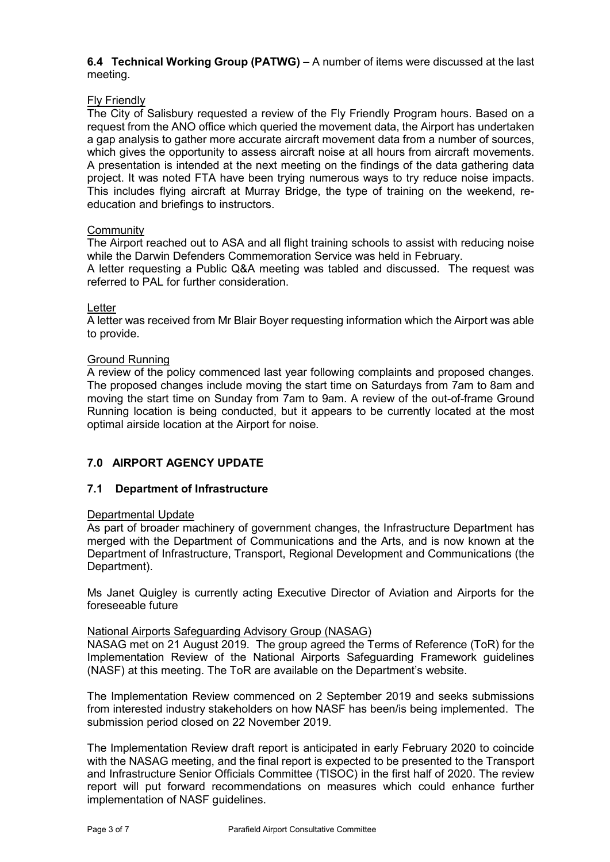**6.4 Technical Working Group (PATWG) –** A number of items were discussed at the last meeting.

### Fly Friendly

The City of Salisbury requested a review of the Fly Friendly Program hours. Based on a request from the ANO office which queried the movement data, the Airport has undertaken a gap analysis to gather more accurate aircraft movement data from a number of sources, which gives the opportunity to assess aircraft noise at all hours from aircraft movements. A presentation is intended at the next meeting on the findings of the data gathering data project. It was noted FTA have been trying numerous ways to try reduce noise impacts. This includes flying aircraft at Murray Bridge, the type of training on the weekend, reeducation and briefings to instructors.

### **Community**

The Airport reached out to ASA and all flight training schools to assist with reducing noise while the Darwin Defenders Commemoration Service was held in February. A letter requesting a Public Q&A meeting was tabled and discussed. The request was referred to PAL for further consideration.

### Letter

A letter was received from Mr Blair Boyer requesting information which the Airport was able to provide.

### Ground Running

A review of the policy commenced last year following complaints and proposed changes. The proposed changes include moving the start time on Saturdays from 7am to 8am and moving the start time on Sunday from 7am to 9am. A review of the out-of-frame Ground Running location is being conducted, but it appears to be currently located at the most optimal airside location at the Airport for noise.

# **7.0 AIRPORT AGENCY UPDATE**

### **7.1 Department of Infrastructure**

### Departmental Update

As part of broader machinery of government changes, the Infrastructure Department has merged with the Department of Communications and the Arts, and is now known at the Department of Infrastructure, Transport, Regional Development and Communications (the Department).

Ms Janet Quigley is currently acting Executive Director of Aviation and Airports for the foreseeable future

### National Airports Safeguarding Advisory Group (NASAG)

NASAG met on 21 August 2019. The group agreed the Terms of Reference (ToR) for the Implementation Review of the National Airports Safeguarding Framework guidelines (NASF) at this meeting. The ToR are available on the Department's website.

The Implementation Review commenced on 2 September 2019 and seeks submissions from interested industry stakeholders on how NASF has been/is being implemented. The submission period closed on 22 November 2019.

The Implementation Review draft report is anticipated in early February 2020 to coincide with the NASAG meeting, and the final report is expected to be presented to the Transport and Infrastructure Senior Officials Committee (TISOC) in the first half of 2020. The review report will put forward recommendations on measures which could enhance further implementation of NASF guidelines.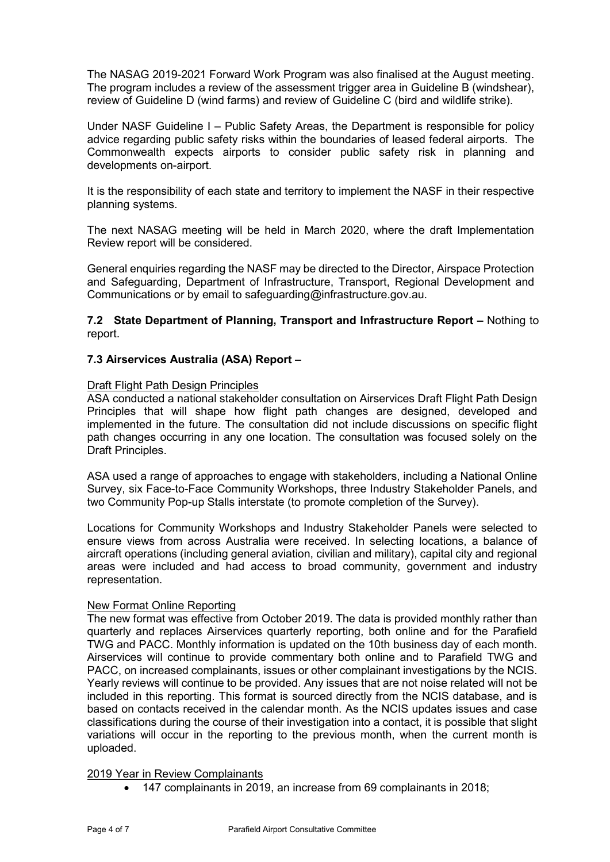The NASAG 2019-2021 Forward Work Program was also finalised at the August meeting. The program includes a review of the assessment trigger area in Guideline B (windshear), review of Guideline D (wind farms) and review of Guideline C (bird and wildlife strike).

Under NASF Guideline I – Public Safety Areas, the Department is responsible for policy advice regarding public safety risks within the boundaries of leased federal airports. The Commonwealth expects airports to consider public safety risk in planning and developments on-airport.

It is the responsibility of each state and territory to implement the NASF in their respective planning systems.

The next NASAG meeting will be held in March 2020, where the draft Implementation Review report will be considered.

General enquiries regarding the NASF may be directed to the Director, Airspace Protection and Safeguarding, Department of Infrastructure, Transport, Regional Development and Communications or by email to [safeguarding@infrastructure.gov.au.](mailto:safeguarding@infrastructure.gov.au)

**7.2 State Department of Planning, Transport and Infrastructure Report –** Nothing to report.

#### **7.3 Airservices Australia (ASA) Report –**

#### Draft Flight Path Design Principles

ASA conducted a national stakeholder consultation on Airservices Draft Flight Path Design Principles that will shape how flight path changes are designed, developed and implemented in the future. The consultation did not include discussions on specific flight path changes occurring in any one location. The consultation was focused solely on the Draft Principles.

ASA used a range of approaches to engage with stakeholders, including a National Online Survey, six Face-to-Face Community Workshops, three Industry Stakeholder Panels, and two Community Pop-up Stalls interstate (to promote completion of the Survey).

Locations for Community Workshops and Industry Stakeholder Panels were selected to ensure views from across Australia were received. In selecting locations, a balance of aircraft operations (including general aviation, civilian and military), capital city and regional areas were included and had access to broad community, government and industry representation.

#### New Format Online Reporting

The new format was effective from October 2019. The data is provided monthly rather than quarterly and replaces Airservices quarterly reporting, both online and for the Parafield TWG and PACC. Monthly information is updated on the 10th business day of each month. Airservices will continue to provide commentary both online and to Parafield TWG and PACC, on increased complainants, issues or other complainant investigations by the NCIS. Yearly reviews will continue to be provided. Any issues that are not noise related will not be included in this reporting. This format is sourced directly from the NCIS database, and is based on contacts received in the calendar month. As the NCIS updates issues and case classifications during the course of their investigation into a contact, it is possible that slight variations will occur in the reporting to the previous month, when the current month is uploaded.

#### 2019 Year in Review Complainants

• 147 complainants in 2019, an increase from 69 complainants in 2018;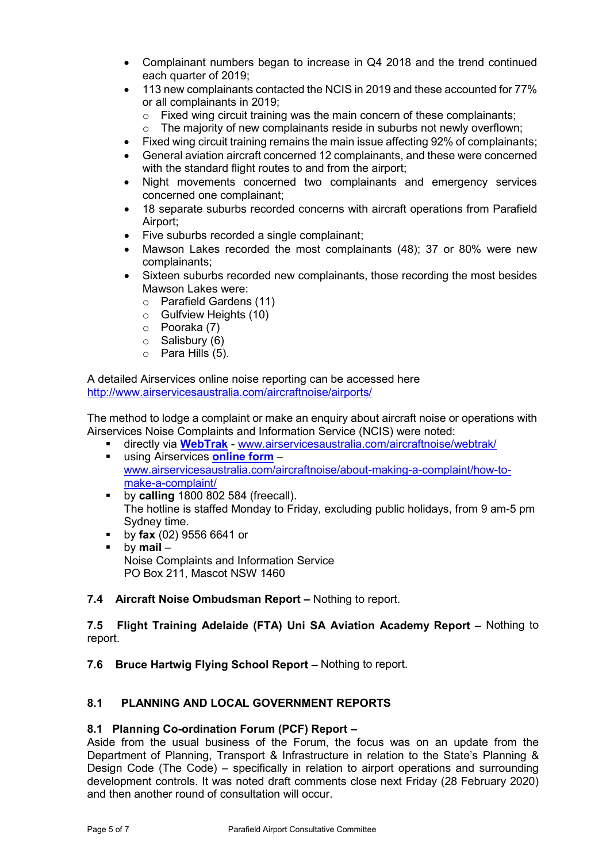- Complainant numbers began to increase in Q4 2018 and the trend continued each quarter of 2019;
- 113 new complainants contacted the NCIS in 2019 and these accounted for 77% or all complainants in 2019;
	- $\circ$  Fixed wing circuit training was the main concern of these complainants;<br>  $\circ$  The majority of new complainants reside in suburbs not newly overflown
	- The majority of new complainants reside in suburbs not newly overflown;
- Fixed wing circuit training remains the main issue affecting 92% of complainants;
- General aviation aircraft concerned 12 complainants, and these were concerned with the standard flight routes to and from the airport;
- Night movements concerned two complainants and emergency services concerned one complainant;
- 18 separate suburbs recorded concerns with aircraft operations from Parafield Airport;
- Five suburbs recorded a single complainant;
- Mawson Lakes recorded the most complainants (48); 37 or 80% were new complainants;
- Sixteen suburbs recorded new complainants, those recording the most besides Mawson Lakes were:
	- o Parafield Gardens (11)
	- o Gulfview Heights (10)
	- o Pooraka (7)
	- o Salisbury (6)
	- $\circ$  Para Hills (5).

A detailed Airservices online noise reporting can be accessed here <http://www.airservicesaustralia.com/aircraftnoise/airports/>

The method to lodge a complaint or make an enquiry about aircraft noise or operations with Airservices Noise Complaints and Information Service (NCIS) were noted:

- directly via **[WebTrak](http://www.airservicesaustralia.com/aircraftnoise/webtrak/)** [www.airservicesaustralia.com/aircraftnoise/webtrak/](http://www.airservicesaustralia.com/aircraftnoise/webtrak/) using Airservices **[online form](https://complaints.bksv.com/asa)** –
- [www.airservicesaustralia.com/aircraftnoise/about-making-a-complaint/how-to](http://www.airservicesaustralia.com/aircraftnoise/about-making-a-complaint/how-to-make-a-complaint/)[make-a-complaint/](http://www.airservicesaustralia.com/aircraftnoise/about-making-a-complaint/how-to-make-a-complaint/)
- **by calling** 1800 802 584 (freecall). The hotline is staffed Monday to Friday, excluding public holidays, from 9 am-5 pm Sydney time.
- **by fax** (02) 9556 6641 or<br>by **mail** –
- by **mail** Noise Complaints and Information Service PO Box 211, Mascot NSW 1460

### **7.4 Aircraft Noise Ombudsman Report –** Nothing to report.

### **7.5 Flight Training Adelaide (FTA) Uni SA Aviation Academy Report –** Nothing to report.

**7.6 Bruce Hartwig Flying School Report –** Nothing to report.

# **8.1 PLANNING AND LOCAL GOVERNMENT REPORTS**

### **8.1 Planning Co-ordination Forum (PCF) Report –**

Aside from the usual business of the Forum, the focus was on an update from the Department of Planning, Transport & Infrastructure in relation to the State's Planning & Design Code (The Code) – specifically in relation to airport operations and surrounding development controls. It was noted draft comments close next Friday (28 February 2020) and then another round of consultation will occur.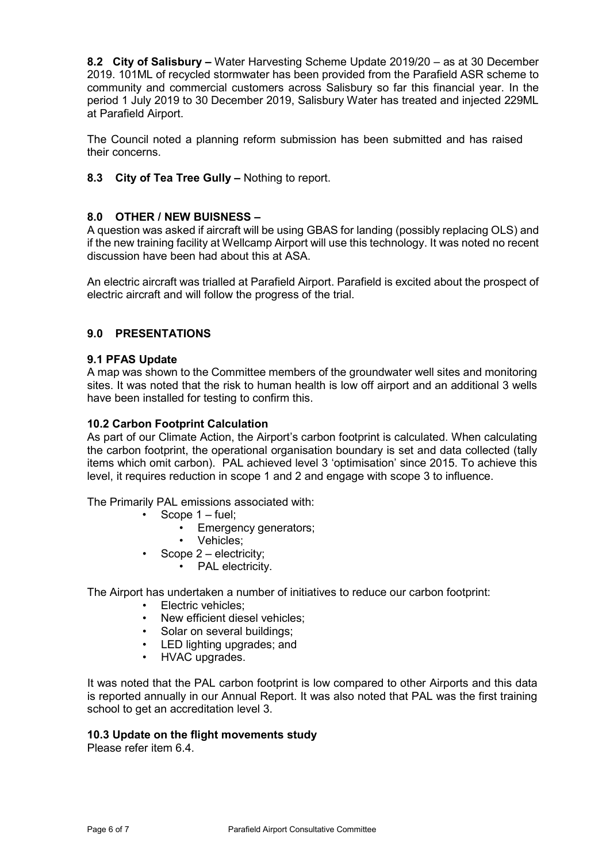**8.2 City of Salisbury –** Water Harvesting Scheme Update 2019/20 – as at 30 December 2019. 101ML of recycled stormwater has been provided from the Parafield ASR scheme to community and commercial customers across Salisbury so far this financial year. In the period 1 July 2019 to 30 December 2019, Salisbury Water has treated and injected 229ML at Parafield Airport.

The Council noted a planning reform submission has been submitted and has raised their concerns.

**8.3 City of Tea Tree Gully –** Nothing to report.

## **8.0 OTHER / NEW BUISNESS –**

A question was asked if aircraft will be using GBAS for landing (possibly replacing OLS) and if the new training facility at Wellcamp Airport will use this technology. It was noted no recent discussion have been had about this at ASA.

An electric aircraft was trialled at Parafield Airport. Parafield is excited about the prospect of electric aircraft and will follow the progress of the trial.

## **9.0 PRESENTATIONS**

### **9.1 PFAS Update**

A map was shown to the Committee members of the groundwater well sites and monitoring sites. It was noted that the risk to human health is low off airport and an additional 3 wells have been installed for testing to confirm this.

### **10.2 Carbon Footprint Calculation**

As part of our Climate Action, the Airport's carbon footprint is calculated. When calculating the carbon footprint, the operational organisation boundary is set and data collected (tally items which omit carbon). PAL achieved level 3 'optimisation' since 2015. To achieve this level, it requires reduction in scope 1 and 2 and engage with scope 3 to influence.

The Primarily PAL emissions associated with:

- Scope  $1 \text{fuel}$ ;
	- Emergency generators;
	- Vehicles;
- Scope  $2$  electricity;
	- PAL electricity.

The Airport has undertaken a number of initiatives to reduce our carbon footprint:

- Electric vehicles;
- New efficient diesel vehicles;
- Solar on several buildings;
- LED lighting upgrades; and
- HVAC upgrades.

It was noted that the PAL carbon footprint is low compared to other Airports and this data is reported annually in our Annual Report. It was also noted that PAL was the first training school to get an accreditation level 3.

#### **10.3 Update on the flight movements study**

Please refer item 6.4